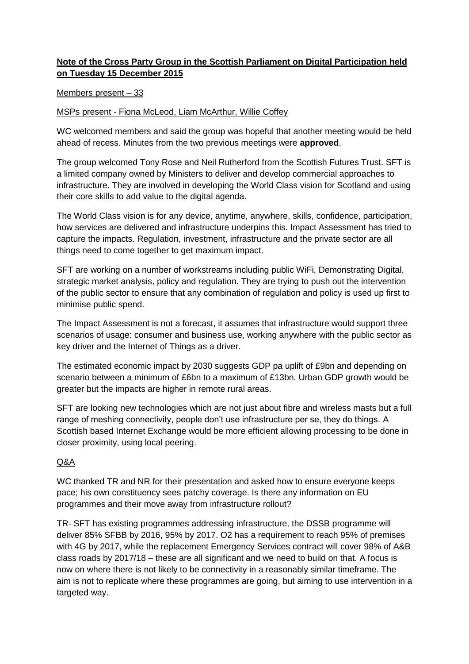# **Note of the Cross Party Group in the Scottish Parliament on Digital Participation held on Tuesday 15 December 2015**

### Members present – 33

### MSPs present - Fiona McLeod, Liam McArthur, Willie Coffey

WC welcomed members and said the group was hopeful that another meeting would be held ahead of recess. Minutes from the two previous meetings were **approved**.

The group welcomed Tony Rose and Neil Rutherford from the Scottish Futures Trust. SFT is a limited company owned by Ministers to deliver and develop commercial approaches to infrastructure. They are involved in developing the World Class vision for Scotland and using their core skills to add value to the digital agenda.

The World Class vision is for any device, anytime, anywhere, skills, confidence, participation, how services are delivered and infrastructure underpins this. Impact Assessment has tried to capture the impacts. Regulation, investment, infrastructure and the private sector are all things need to come together to get maximum impact.

SFT are working on a number of workstreams including public WiFi, Demonstrating Digital, strategic market analysis, policy and regulation. They are trying to push out the intervention of the public sector to ensure that any combination of regulation and policy is used up first to minimise public spend.

The Impact Assessment is not a forecast, it assumes that infrastructure would support three scenarios of usage: consumer and business use, working anywhere with the public sector as key driver and the Internet of Things as a driver.

The estimated economic impact by 2030 suggests GDP pa uplift of £9bn and depending on scenario between a minimum of £6bn to a maximum of £13bn. Urban GDP growth would be greater but the impacts are higher in remote rural areas.

SFT are looking new technologies which are not just about fibre and wireless masts but a full range of meshing connectivity, people don't use infrastructure per se, they do things. A Scottish based Internet Exchange would be more efficient allowing processing to be done in closer proximity, using local peering.

## Q&A

WC thanked TR and NR for their presentation and asked how to ensure everyone keeps pace; his own constituency sees patchy coverage. Is there any information on EU programmes and their move away from infrastructure rollout?

TR- SFT has existing programmes addressing infrastructure, the DSSB programme will deliver 85% SFBB by 2016, 95% by 2017. O2 has a requirement to reach 95% of premises with 4G by 2017, while the replacement Emergency Services contract will cover 98% of A&B class roads by 2017/18 – these are all significant and we need to build on that. A focus is now on where there is not likely to be connectivity in a reasonably similar timeframe. The aim is not to replicate where these programmes are going, but aiming to use intervention in a targeted way.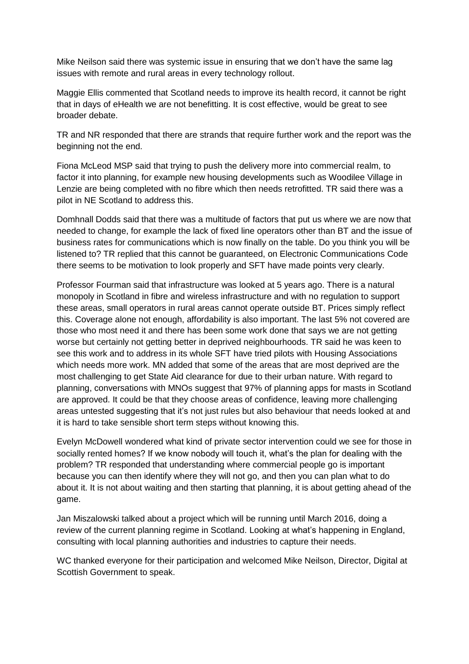Mike Neilson said there was systemic issue in ensuring that we don't have the same lag issues with remote and rural areas in every technology rollout.

Maggie Ellis commented that Scotland needs to improve its health record, it cannot be right that in days of eHealth we are not benefitting. It is cost effective, would be great to see broader debate.

TR and NR responded that there are strands that require further work and the report was the beginning not the end.

Fiona McLeod MSP said that trying to push the delivery more into commercial realm, to factor it into planning, for example new housing developments such as Woodilee Village in Lenzie are being completed with no fibre which then needs retrofitted. TR said there was a pilot in NE Scotland to address this.

Domhnall Dodds said that there was a multitude of factors that put us where we are now that needed to change, for example the lack of fixed line operators other than BT and the issue of business rates for communications which is now finally on the table. Do you think you will be listened to? TR replied that this cannot be guaranteed, on Electronic Communications Code there seems to be motivation to look properly and SFT have made points very clearly.

Professor Fourman said that infrastructure was looked at 5 years ago. There is a natural monopoly in Scotland in fibre and wireless infrastructure and with no regulation to support these areas, small operators in rural areas cannot operate outside BT. Prices simply reflect this. Coverage alone not enough, affordability is also important. The last 5% not covered are those who most need it and there has been some work done that says we are not getting worse but certainly not getting better in deprived neighbourhoods. TR said he was keen to see this work and to address in its whole SFT have tried pilots with Housing Associations which needs more work. MN added that some of the areas that are most deprived are the most challenging to get State Aid clearance for due to their urban nature. With regard to planning, conversations with MNOs suggest that 97% of planning apps for masts in Scotland are approved. It could be that they choose areas of confidence, leaving more challenging areas untested suggesting that it's not just rules but also behaviour that needs looked at and it is hard to take sensible short term steps without knowing this.

Evelyn McDowell wondered what kind of private sector intervention could we see for those in socially rented homes? If we know nobody will touch it, what's the plan for dealing with the problem? TR responded that understanding where commercial people go is important because you can then identify where they will not go, and then you can plan what to do about it. It is not about waiting and then starting that planning, it is about getting ahead of the game.

Jan Miszalowski talked about a project which will be running until March 2016, doing a review of the current planning regime in Scotland. Looking at what's happening in England, consulting with local planning authorities and industries to capture their needs.

WC thanked everyone for their participation and welcomed Mike Neilson, Director, Digital at Scottish Government to speak.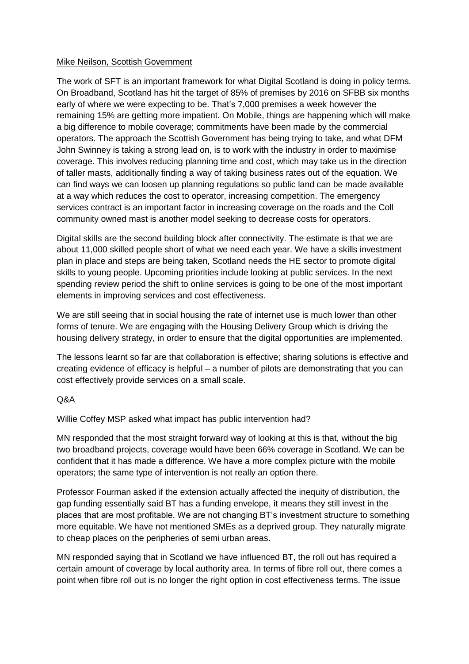### Mike Neilson, Scottish Government

The work of SFT is an important framework for what Digital Scotland is doing in policy terms. On Broadband, Scotland has hit the target of 85% of premises by 2016 on SFBB six months early of where we were expecting to be. That's 7,000 premises a week however the remaining 15% are getting more impatient. On Mobile, things are happening which will make a big difference to mobile coverage; commitments have been made by the commercial operators. The approach the Scottish Government has being trying to take, and what DFM John Swinney is taking a strong lead on, is to work with the industry in order to maximise coverage. This involves reducing planning time and cost, which may take us in the direction of taller masts, additionally finding a way of taking business rates out of the equation. We can find ways we can loosen up planning regulations so public land can be made available at a way which reduces the cost to operator, increasing competition. The emergency services contract is an important factor in increasing coverage on the roads and the Coll community owned mast is another model seeking to decrease costs for operators.

Digital skills are the second building block after connectivity. The estimate is that we are about 11,000 skilled people short of what we need each year. We have a skills investment plan in place and steps are being taken, Scotland needs the HE sector to promote digital skills to young people. Upcoming priorities include looking at public services. In the next spending review period the shift to online services is going to be one of the most important elements in improving services and cost effectiveness.

We are still seeing that in social housing the rate of internet use is much lower than other forms of tenure. We are engaging with the Housing Delivery Group which is driving the housing delivery strategy, in order to ensure that the digital opportunities are implemented.

The lessons learnt so far are that collaboration is effective; sharing solutions is effective and creating evidence of efficacy is helpful – a number of pilots are demonstrating that you can cost effectively provide services on a small scale.

## Q&A

Willie Coffey MSP asked what impact has public intervention had?

MN responded that the most straight forward way of looking at this is that, without the big two broadband projects, coverage would have been 66% coverage in Scotland. We can be confident that it has made a difference. We have a more complex picture with the mobile operators; the same type of intervention is not really an option there.

Professor Fourman asked if the extension actually affected the inequity of distribution, the gap funding essentially said BT has a funding envelope, it means they still invest in the places that are most profitable. We are not changing BT's investment structure to something more equitable. We have not mentioned SMEs as a deprived group. They naturally migrate to cheap places on the peripheries of semi urban areas.

MN responded saying that in Scotland we have influenced BT, the roll out has required a certain amount of coverage by local authority area. In terms of fibre roll out, there comes a point when fibre roll out is no longer the right option in cost effectiveness terms. The issue